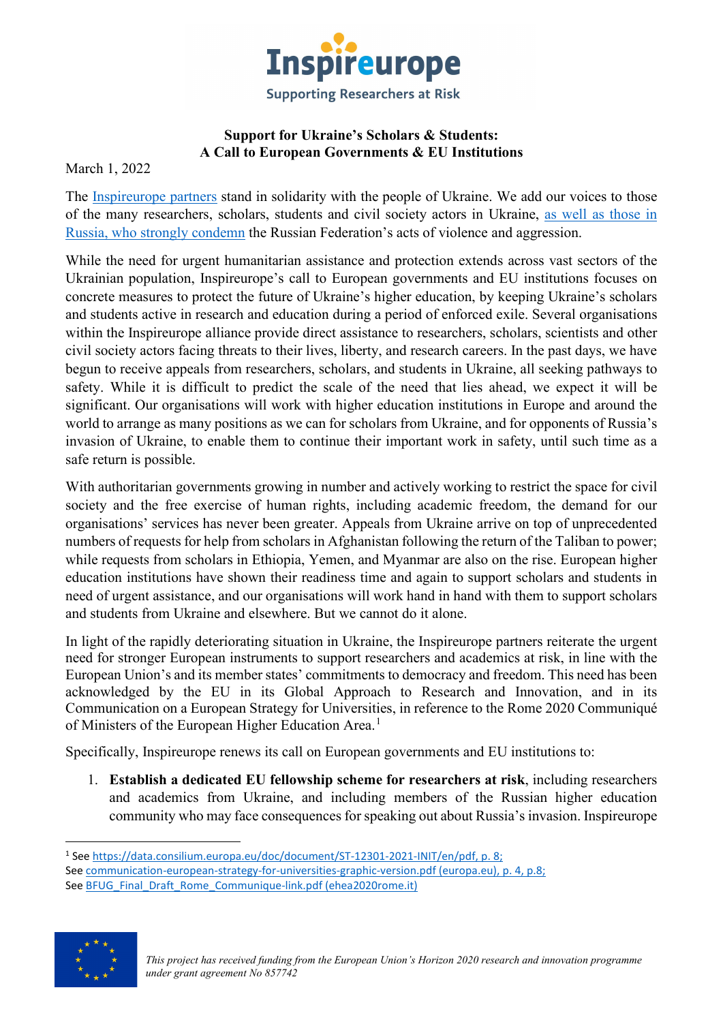

## **Support for Ukraine's Scholars & Students: A Call to European Governments & EU Institutions**

March 1, 2022

The [Inspireurope](https://maynoothuniversity.ie/sar-europe/inspireurope/partners) partners stand in solidarity with the people of Ukraine. We add our voices to those of the many researchers, scholars, students and civil society actors in Ukraine, [as well as](https://trv-science.ru/2022/02/we-are-against-war-all/) those in Russia, [who strongly condemn](https://trv-science.ru/2022/02/we-are-against-war-all/) the Russian Federation's acts of violence and aggression.

While the need for urgent humanitarian assistance and protection extends across vast sectors of the Ukrainian population, Inspireurope's call to European governments and EU institutions focuses on concrete measures to protect the future of Ukraine's higher education, by keeping Ukraine's scholars and students active in research and education during a period of enforced exile. Several organisations within the Inspireurope alliance provide direct assistance to researchers, scholars, scientists and other civil society actors facing threats to their lives, liberty, and research careers. In the past days, we have begun to receive appeals from researchers, scholars, and students in Ukraine, all seeking pathways to safety. While it is difficult to predict the scale of the need that lies ahead, we expect it will be significant. Our organisations will work with higher education institutions in Europe and around the world to arrange as many positions as we can for scholars from Ukraine, and for opponents of Russia's invasion of Ukraine, to enable them to continue their important work in safety, until such time as a safe return is possible.

With authoritarian governments growing in number and actively working to restrict the space for civil society and the free exercise of human rights, including academic freedom, the demand for our organisations' services has never been greater. Appeals from Ukraine arrive on top of unprecedented numbers of requests for help from scholars in Afghanistan following the return of the Taliban to power; while requests from scholars in Ethiopia, Yemen, and Myanmar are also on the rise. European higher education institutions have shown their readiness time and again to support scholars and students in need of urgent assistance, and our organisations will work hand in hand with them to support scholars and students from Ukraine and elsewhere. But we cannot do it alone.

In light of the rapidly deteriorating situation in Ukraine, the Inspireurope partners reiterate the urgent need for stronger European instruments to support researchers and academics at risk, in line with the European Union's and its member states' commitments to democracy and freedom. This need has been acknowledged by the EU in its Global Approach to Research and Innovation, and in its Communication on a European Strategy for Universities, in reference to the Rome 2020 Communiqué of Ministers of the European Higher Education Area.<sup>[1](#page-0-0)</sup>

Specifically, Inspireurope renews its call on European governments and EU institutions to:

1. **Establish a dedicated EU fellowship scheme for researchers at risk**, including researchers and academics from Ukraine, and including members of the Russian higher education community who may face consequences for speaking out about Russia's invasion. Inspireurope

<span id="page-0-0"></span><sup>1</sup> See [https://data.consilium.europa.eu/doc/document/ST-12301-2021-INIT/en/pdf,](https://data.consilium.europa.eu/doc/document/ST-12301-2021-INIT/en/pdf) p. 8; See [communication-european-strategy-for-universities-graphic-version.pdf \(europa.eu\),](https://education.ec.europa.eu/sites/default/files/2022-01/communication-european-strategy-for-universities-graphic-version.pdf) p. 4, p.8; See [BFUG\\_Final\\_Draft\\_Rome\\_Communique-link.pdf \(ehea2020rome.it\)](https://ehea2020rome.it/storage/uploads/5d29d1cd-4616-4dfe-a2af-29140a02ec09/BFUG_Final_Draft_Rome_Communique-link.pdf)